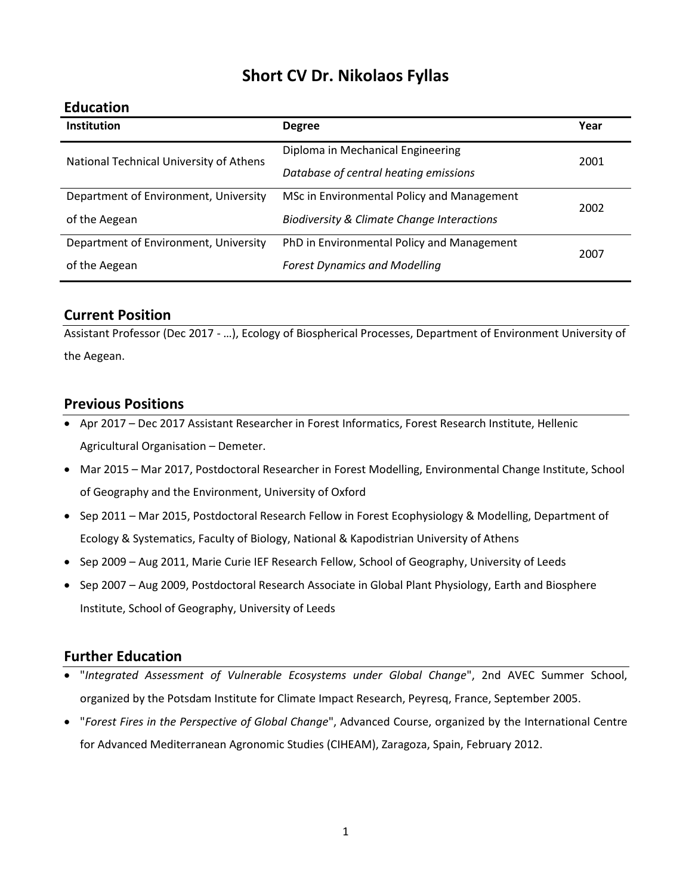# **Short CV Dr. Nikolaos Fyllas**

#### **Education**

| Institution                             | <b>Degree</b>                                         | Year |
|-----------------------------------------|-------------------------------------------------------|------|
| National Technical University of Athens | Diploma in Mechanical Engineering                     | 2001 |
|                                         | Database of central heating emissions                 |      |
| Department of Environment, University   | MSc in Environmental Policy and Management            | 2002 |
| of the Aegean                           | <b>Biodiversity &amp; Climate Change Interactions</b> |      |
| Department of Environment, University   | PhD in Environmental Policy and Management            | 2007 |
| of the Aegean                           | <b>Forest Dynamics and Modelling</b>                  |      |
|                                         |                                                       |      |

### **Current Position**

Assistant Professor (Dec 2017 - …), Ecology of Biospherical Processes, Department of Environment University of the Aegean.

### **Previous Positions**

- Apr 2017 Dec 2017 Assistant Researcher in Forest Informatics, Forest Research Institute, Hellenic Agricultural Organisation – Demeter.
- Mar 2015 Mar 2017, Postdoctoral Researcher in Forest Modelling, Environmental Change Institute, School of Geography and the Environment, University of Oxford
- Sep 2011 Mar 2015, Postdoctoral Research Fellow in Forest Ecophysiology & Modelling, Department of Ecology & Systematics, Faculty of Biology, National & Kapodistrian University of Athens
- Sep 2009 Aug 2011, Marie Curie IEF Research Fellow, School of Geography, University of Leeds
- Sep 2007 Aug 2009, Postdoctoral Research Associate in Global Plant Physiology, Earth and Biosphere Institute, School of Geography, University of Leeds

### **Further Education**

- "*Integrated Assessment of Vulnerable Ecosystems under Global Change*", 2nd AVEC Summer School, organized by the Potsdam Institute for Climate Impact Research, Peyresq, France, September 2005.
- "*Forest Fires in the Perspective of Global Change*", Advanced Course, organized by the International Centre for Advanced Mediterranean Agronomic Studies (CIHEAM), Zaragoza, Spain, February 2012.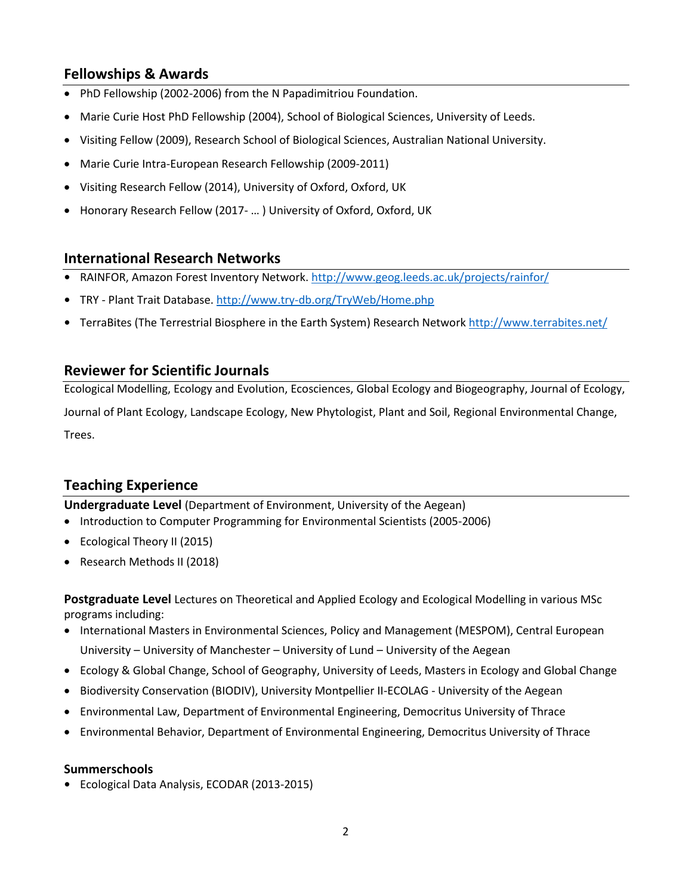## **Fellowships & Awards**

- PhD Fellowship (2002-2006) from the N Papadimitriou Foundation.
- Marie Curie Host PhD Fellowship (2004), School of Biological Sciences, University of Leeds.
- Visiting Fellow (2009), Research School of Biological Sciences, Australian National University.
- Marie Curie Intra-European Research Fellowship (2009-2011)
- Visiting Research Fellow (2014), University of Oxford, Oxford, UK
- Honorary Research Fellow (2017- … ) University of Oxford, Oxford, UK

### **International Research Networks**

- **•** RAINFOR, Amazon Forest Inventory Network. <http://www.geog.leeds.ac.uk/projects/rainfor/>
- **•** TRY Plant Trait Database[. http://www.try-db.org/TryWeb/Home.php](http://www.try-db.org/TryWeb/Home.php)
- **•** TerraBites (The Terrestrial Biosphere in the Earth System) Research Network<http://www.terrabites.net/>

### **Reviewer for Scientific Journals**

Ecological Modelling, Ecology and Evolution, Ecosciences, Global Ecology and Biogeography, Journal of Ecology, Journal of Plant Ecology, Landscape Ecology, New Phytologist, Plant and Soil, Regional Environmental Change, Trees.

## **Teaching Experience**

**Undergraduate Level** (Department of Environment, University of the Aegean)

- Introduction to Computer Programming for Environmental Scientists (2005-2006)
- Ecological Theory II (2015)
- Research Methods II (2018)

**Postgraduate Level** Lectures on Theoretical and Applied Ecology and Ecological Modelling in various MSc programs including:

- International Masters in Environmental Sciences, Policy and Management (MESPOM), Central European University – University of Manchester – University of Lund – University of the Aegean
- Ecology & Global Change, School of Geography, University of Leeds, Masters in Ecology and Global Change
- Biodiversity Conservation (BIODIV), University Montpellier II-ECOLAG University of the Aegean
- Environmental Law, Department of Environmental Engineering, Democritus University of Thrace
- Environmental Behavior, Department of Environmental Engineering, Democritus University of Thrace

#### **Summerschools**

**•** Ecological Data Analysis, ECODAR (2013-2015)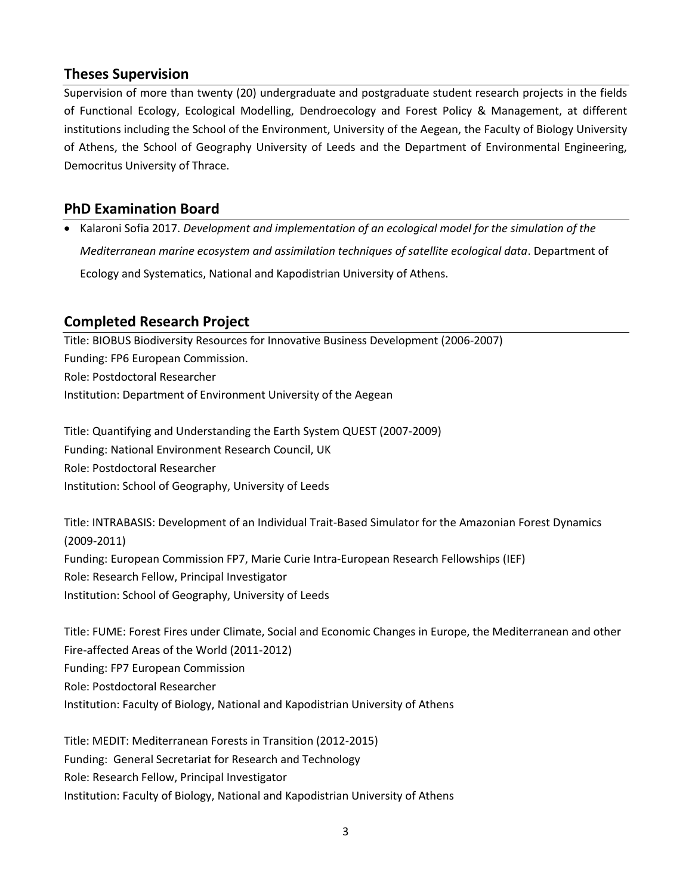## **Theses Supervision**

Supervision of more than twenty (20) undergraduate and postgraduate student research projects in the fields of Functional Ecology, Ecological Modelling, Dendroecology and Forest Policy & Management, at different institutions including the School of the Environment, University of the Aegean, the Faculty of Biology University of Athens, the School of Geography University of Leeds and the Department of Environmental Engineering, Democritus University of Thrace.

## **PhD Examination Board**

• Kalaroni Sofia 2017. *Development and implementation of an ecological model for the simulation of the Mediterranean marine ecosystem and assimilation techniques of satellite ecological data*. Department of Ecology and Systematics, National and Kapodistrian University of Athens.

## **Completed Research Project**

Title: BIOBUS Biodiversity Resources for Innovative Business Development (2006-2007) Funding: FP6 European Commission. Role: Postdoctoral Researcher Institution: Department of Environment University of the Aegean

Title: Quantifying and Understanding the Earth System QUEST (2007-2009) Funding: National Environment Research Council, UK Role: Postdoctoral Researcher Institution: School of Geography, University of Leeds

Title: INTRABASIS: Development of an Individual Trait-Based Simulator for the Amazonian Forest Dynamics (2009-2011) Funding: European Commission FP7, Marie Curie Intra-European Research Fellowships (IEF) Role: Research Fellow, Principal Investigator Institution: School of Geography, University of Leeds

Title: FUME: Forest Fires under Climate, Social and Economic Changes in Europe, the Mediterranean and other Fire-affected Areas of the World (2011-2012) Funding: FP7 European Commission Role: Postdoctoral Researcher Institution: Faculty of Biology, National and Kapodistrian University of Athens

Title: MEDIT: Mediterranean Forests in Transition (2012-2015) Funding: General Secretariat for Research and Technology Role: Research Fellow, Principal Investigator Institution: Faculty of Biology, National and Kapodistrian University of Athens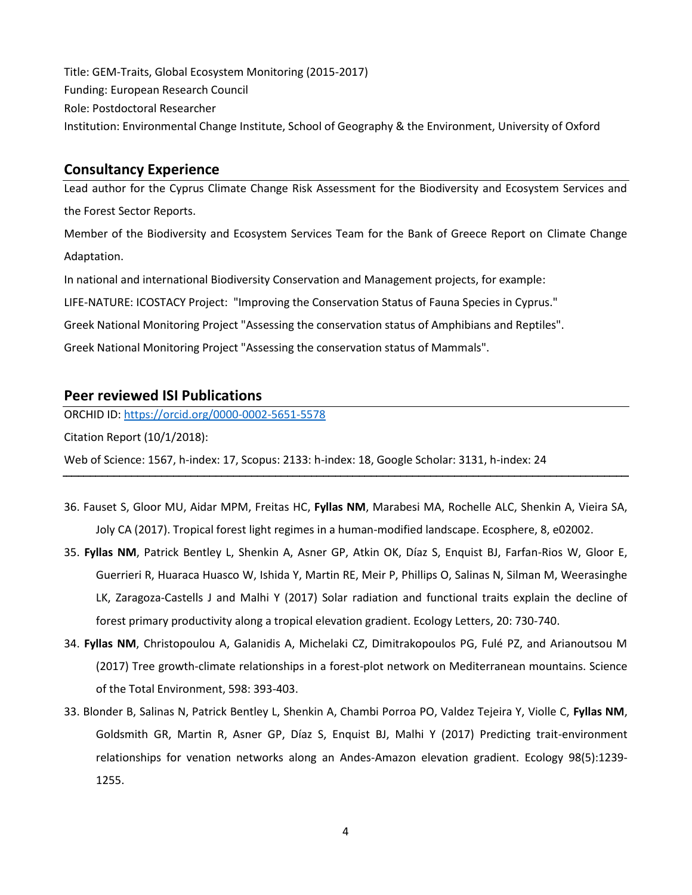Title: GEM-Traits, Global Ecosystem Monitoring (2015-2017) Funding: European Research Council Role: Postdoctoral Researcher Institution: Environmental Change Institute, School of Geography & the Environment, University of Oxford

### **Consultancy Experience**

Lead author for the Cyprus Climate Change Risk Assessment for the Biodiversity and Ecosystem Services and the Forest Sector Reports.

Member of the Biodiversity and Ecosystem Services Team for the Bank of Greece Report on Climate Change Adaptation.

In national and international Biodiversity Conservation and Management projects, for example:

LIFE-NATURE: ICOSTACY Project: "Improving the Conservation Status of Fauna Species in Cyprus."

Greek National Monitoring Project "Assessing the conservation status of Amphibians and Reptiles".

Greek National Monitoring Project "Assessing the conservation status of Mammals".

### **Peer reviewed ISI Publications**

ORCHID ID[: https://orcid.org/0000-0002-5651-5578](https://orcid.org/0000-0002-5651-5578)

Citation Report (10/1/2018):

Web of Science: 1567, h-index: 17, Scopus: 2133: h-index: 18, Google Scholar: 3131, h-index: 24

- 36. Fauset S, Gloor MU, Aidar MPM, Freitas HC, **Fyllas NM**, Marabesi MA, Rochelle ALC, Shenkin A, Vieira SA, Joly CA (2017). Tropical forest light regimes in a human-modified landscape. Ecosphere, 8, e02002.
- 35. **Fyllas NM**, Patrick Bentley L, Shenkin A, Asner GP, Atkin OK, Díaz S, Enquist BJ, Farfan-Rios W, Gloor E, Guerrieri R, Huaraca Huasco W, Ishida Y, Martin RE, Meir P, Phillips O, Salinas N, Silman M, Weerasinghe LK, Zaragoza-Castells J and Malhi Y (2017) Solar radiation and functional traits explain the decline of forest primary productivity along a tropical elevation gradient. Ecology Letters, 20: 730-740.
- 34. **Fyllas NM**, Christopoulou A, Galanidis A, Michelaki CZ, Dimitrakopoulos PG, Fulé PZ, and Arianoutsou M (2017) Tree growth-climate relationships in a forest-plot network on Mediterranean mountains. Science of the Total Environment, 598: 393-403.
- 33. Blonder B, Salinas N, Patrick Bentley L, Shenkin A, Chambi Porroa PO, Valdez Tejeira Y, Violle C, **Fyllas NM**, Goldsmith GR, Martin R, Asner GP, Díaz S, Enquist BJ, Malhi Y (2017) Predicting trait-environment relationships for venation networks along an Andes-Amazon elevation gradient. Ecology 98(5):1239- 1255.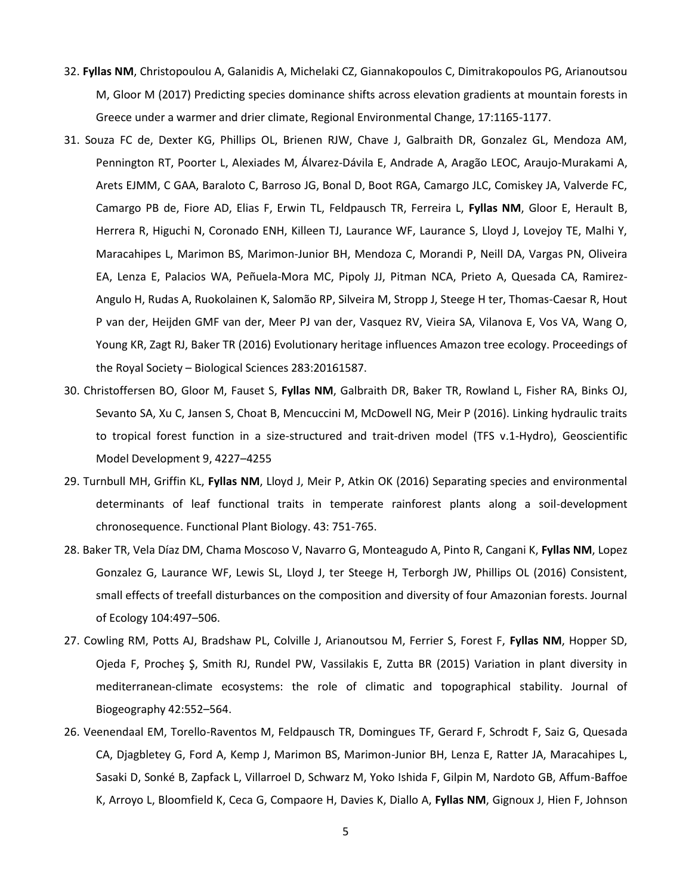- 32. **Fyllas NM**, Christopoulou A, Galanidis A, Michelaki CZ, Giannakopoulos C, Dimitrakopoulos PG, Arianoutsou M, Gloor M (2017) Predicting species dominance shifts across elevation gradients at mountain forests in Greece under a warmer and drier climate, Regional Environmental Change, 17:1165-1177.
- 31. Souza FC de, Dexter KG, Phillips OL, Brienen RJW, Chave J, Galbraith DR, Gonzalez GL, Mendoza AM, Pennington RT, Poorter L, Alexiades M, Álvarez-Dávila E, Andrade A, Aragão LEOC, Araujo-Murakami A, Arets EJMM, C GAA, Baraloto C, Barroso JG, Bonal D, Boot RGA, Camargo JLC, Comiskey JA, Valverde FC, Camargo PB de, Fiore AD, Elias F, Erwin TL, Feldpausch TR, Ferreira L, **Fyllas NM**, Gloor E, Herault B, Herrera R, Higuchi N, Coronado ENH, Killeen TJ, Laurance WF, Laurance S, Lloyd J, Lovejoy TE, Malhi Y, Maracahipes L, Marimon BS, Marimon-Junior BH, Mendoza C, Morandi P, Neill DA, Vargas PN, Oliveira EA, Lenza E, Palacios WA, Peñuela-Mora MC, Pipoly JJ, Pitman NCA, Prieto A, Quesada CA, Ramirez-Angulo H, Rudas A, Ruokolainen K, Salomão RP, Silveira M, Stropp J, Steege H ter, Thomas-Caesar R, Hout P van der, Heijden GMF van der, Meer PJ van der, Vasquez RV, Vieira SA, Vilanova E, Vos VA, Wang O, Young KR, Zagt RJ, Baker TR (2016) Evolutionary heritage influences Amazon tree ecology. Proceedings of the Royal Society – Biological Sciences 283:20161587.
- 30. Christoffersen BO, Gloor M, Fauset S, **Fyllas NM**, Galbraith DR, Baker TR, Rowland L, Fisher RA, Binks OJ, Sevanto SA, Xu C, Jansen S, Choat B, Mencuccini M, McDowell NG, Meir P (2016). Linking hydraulic traits to tropical forest function in a size-structured and trait-driven model (TFS v.1-Hydro), Geoscientific Model Development 9, 4227–4255
- 29. Turnbull MH, Griffin KL, **Fyllas NM**, Lloyd J, Meir P, Atkin OK (2016) Separating species and environmental determinants of leaf functional traits in temperate rainforest plants along a soil-development chronosequence. Functional Plant Biology. 43: 751-765.
- 28. Baker TR, Vela Díaz DM, Chama Moscoso V, Navarro G, Monteagudo A, Pinto R, Cangani K, **Fyllas NM**, Lopez Gonzalez G, Laurance WF, Lewis SL, Lloyd J, ter Steege H, Terborgh JW, Phillips OL (2016) Consistent, small effects of treefall disturbances on the composition and diversity of four Amazonian forests. Journal of Ecology 104:497–506.
- 27. Cowling RM, Potts AJ, Bradshaw PL, Colville J, Arianoutsou M, Ferrier S, Forest F, **Fyllas NM**, Hopper SD, Ojeda F, Procheş Ş, Smith RJ, Rundel PW, Vassilakis E, Zutta BR (2015) Variation in plant diversity in mediterranean-climate ecosystems: the role of climatic and topographical stability. Journal of Biogeography 42:552–564.
- 26. Veenendaal EM, Torello-Raventos M, Feldpausch TR, Domingues TF, Gerard F, Schrodt F, Saiz G, Quesada CA, Djagbletey G, Ford A, Kemp J, Marimon BS, Marimon-Junior BH, Lenza E, Ratter JA, Maracahipes L, Sasaki D, Sonké B, Zapfack L, Villarroel D, Schwarz M, Yoko Ishida F, Gilpin M, Nardoto GB, Affum-Baffoe K, Arroyo L, Bloomfield K, Ceca G, Compaore H, Davies K, Diallo A, **Fyllas NM**, Gignoux J, Hien F, Johnson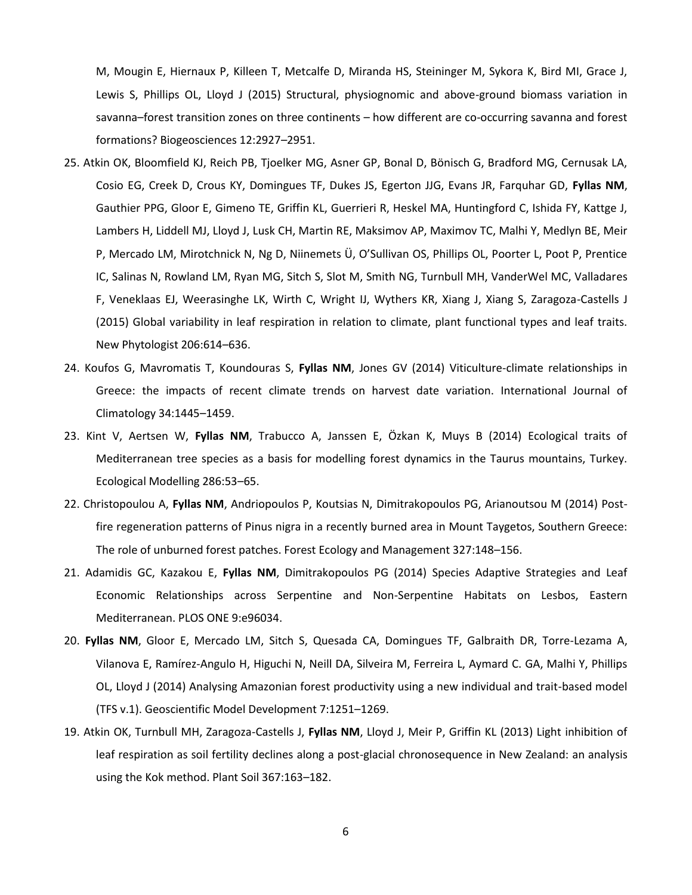M, Mougin E, Hiernaux P, Killeen T, Metcalfe D, Miranda HS, Steininger M, Sykora K, Bird MI, Grace J, Lewis S, Phillips OL, Lloyd J (2015) Structural, physiognomic and above-ground biomass variation in savanna–forest transition zones on three continents – how different are co-occurring savanna and forest formations? Biogeosciences 12:2927–2951.

- 25. Atkin OK, Bloomfield KJ, Reich PB, Tjoelker MG, Asner GP, Bonal D, Bönisch G, Bradford MG, Cernusak LA, Cosio EG, Creek D, Crous KY, Domingues TF, Dukes JS, Egerton JJG, Evans JR, Farquhar GD, **Fyllas NM**, Gauthier PPG, Gloor E, Gimeno TE, Griffin KL, Guerrieri R, Heskel MA, Huntingford C, Ishida FY, Kattge J, Lambers H, Liddell MJ, Lloyd J, Lusk CH, Martin RE, Maksimov AP, Maximov TC, Malhi Y, Medlyn BE, Meir P, Mercado LM, Mirotchnick N, Ng D, Niinemets Ü, O'Sullivan OS, Phillips OL, Poorter L, Poot P, Prentice IC, Salinas N, Rowland LM, Ryan MG, Sitch S, Slot M, Smith NG, Turnbull MH, VanderWel MC, Valladares F, Veneklaas EJ, Weerasinghe LK, Wirth C, Wright IJ, Wythers KR, Xiang J, Xiang S, Zaragoza-Castells J (2015) Global variability in leaf respiration in relation to climate, plant functional types and leaf traits. New Phytologist 206:614–636.
- 24. Koufos G, Mavromatis T, Koundouras S, **Fyllas NM**, Jones GV (2014) Viticulture-climate relationships in Greece: the impacts of recent climate trends on harvest date variation. International Journal of Climatology 34:1445–1459.
- 23. Kint V, Aertsen W, **Fyllas NM**, Trabucco A, Janssen E, Özkan K, Muys B (2014) Ecological traits of Mediterranean tree species as a basis for modelling forest dynamics in the Taurus mountains, Turkey. Ecological Modelling 286:53–65.
- 22. Christopoulou A, **Fyllas NM**, Andriopoulos P, Koutsias N, Dimitrakopoulos PG, Arianoutsou M (2014) Postfire regeneration patterns of Pinus nigra in a recently burned area in Mount Taygetos, Southern Greece: The role of unburned forest patches. Forest Ecology and Management 327:148–156.
- 21. Adamidis GC, Kazakou E, **Fyllas NM**, Dimitrakopoulos PG (2014) Species Adaptive Strategies and Leaf Economic Relationships across Serpentine and Non-Serpentine Habitats on Lesbos, Eastern Mediterranean. PLOS ONE 9:e96034.
- 20. **Fyllas NM**, Gloor E, Mercado LM, Sitch S, Quesada CA, Domingues TF, Galbraith DR, Torre-Lezama A, Vilanova E, Ramírez-Angulo H, Higuchi N, Neill DA, Silveira M, Ferreira L, Aymard C. GA, Malhi Y, Phillips OL, Lloyd J (2014) Analysing Amazonian forest productivity using a new individual and trait-based model (TFS v.1). Geoscientific Model Development 7:1251–1269.
- 19. Atkin OK, Turnbull MH, Zaragoza-Castells J, **Fyllas NM**, Lloyd J, Meir P, Griffin KL (2013) Light inhibition of leaf respiration as soil fertility declines along a post-glacial chronosequence in New Zealand: an analysis using the Kok method. Plant Soil 367:163–182.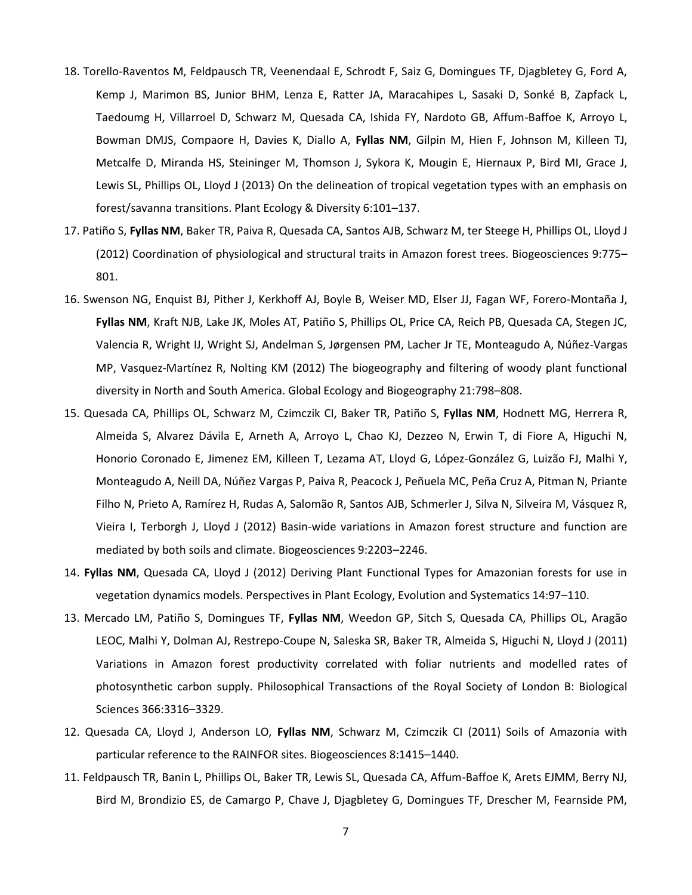- 18. Torello-Raventos M, Feldpausch TR, Veenendaal E, Schrodt F, Saiz G, Domingues TF, Djagbletey G, Ford A, Kemp J, Marimon BS, Junior BHM, Lenza E, Ratter JA, Maracahipes L, Sasaki D, Sonké B, Zapfack L, Taedoumg H, Villarroel D, Schwarz M, Quesada CA, Ishida FY, Nardoto GB, Affum-Baffoe K, Arroyo L, Bowman DMJS, Compaore H, Davies K, Diallo A, **Fyllas NM**, Gilpin M, Hien F, Johnson M, Killeen TJ, Metcalfe D, Miranda HS, Steininger M, Thomson J, Sykora K, Mougin E, Hiernaux P, Bird MI, Grace J, Lewis SL, Phillips OL, Lloyd J (2013) On the delineation of tropical vegetation types with an emphasis on forest/savanna transitions. Plant Ecology & Diversity 6:101–137.
- 17. Patiño S, **Fyllas NM**, Baker TR, Paiva R, Quesada CA, Santos AJB, Schwarz M, ter Steege H, Phillips OL, Lloyd J (2012) Coordination of physiological and structural traits in Amazon forest trees. Biogeosciences 9:775– 801.
- 16. Swenson NG, Enquist BJ, Pither J, Kerkhoff AJ, Boyle B, Weiser MD, Elser JJ, Fagan WF, Forero-Montaña J, **Fyllas NM**, Kraft NJB, Lake JK, Moles AT, Patiño S, Phillips OL, Price CA, Reich PB, Quesada CA, Stegen JC, Valencia R, Wright IJ, Wright SJ, Andelman S, Jørgensen PM, Lacher Jr TE, Monteagudo A, Núñez-Vargas MP, Vasquez-Martínez R, Nolting KM (2012) The biogeography and filtering of woody plant functional diversity in North and South America. Global Ecology and Biogeography 21:798–808.
- 15. Quesada CA, Phillips OL, Schwarz M, Czimczik CI, Baker TR, Patiño S, **Fyllas NM**, Hodnett MG, Herrera R, Almeida S, Alvarez Dávila E, Arneth A, Arroyo L, Chao KJ, Dezzeo N, Erwin T, di Fiore A, Higuchi N, Honorio Coronado E, Jimenez EM, Killeen T, Lezama AT, Lloyd G, López-González G, Luizão FJ, Malhi Y, Monteagudo A, Neill DA, Núñez Vargas P, Paiva R, Peacock J, Peñuela MC, Peña Cruz A, Pitman N, Priante Filho N, Prieto A, Ramírez H, Rudas A, Salomão R, Santos AJB, Schmerler J, Silva N, Silveira M, Vásquez R, Vieira I, Terborgh J, Lloyd J (2012) Basin-wide variations in Amazon forest structure and function are mediated by both soils and climate. Biogeosciences 9:2203–2246.
- 14. **Fyllas NM**, Quesada CA, Lloyd J (2012) Deriving Plant Functional Types for Amazonian forests for use in vegetation dynamics models. Perspectives in Plant Ecology, Evolution and Systematics 14:97–110.
- 13. Mercado LM, Patiño S, Domingues TF, **Fyllas NM**, Weedon GP, Sitch S, Quesada CA, Phillips OL, Aragão LEOC, Malhi Y, Dolman AJ, Restrepo-Coupe N, Saleska SR, Baker TR, Almeida S, Higuchi N, Lloyd J (2011) Variations in Amazon forest productivity correlated with foliar nutrients and modelled rates of photosynthetic carbon supply. Philosophical Transactions of the Royal Society of London B: Biological Sciences 366:3316–3329.
- 12. Quesada CA, Lloyd J, Anderson LO, **Fyllas NM**, Schwarz M, Czimczik CI (2011) Soils of Amazonia with particular reference to the RAINFOR sites. Biogeosciences 8:1415–1440.
- 11. Feldpausch TR, Banin L, Phillips OL, Baker TR, Lewis SL, Quesada CA, Affum-Baffoe K, Arets EJMM, Berry NJ, Bird M, Brondizio ES, de Camargo P, Chave J, Djagbletey G, Domingues TF, Drescher M, Fearnside PM,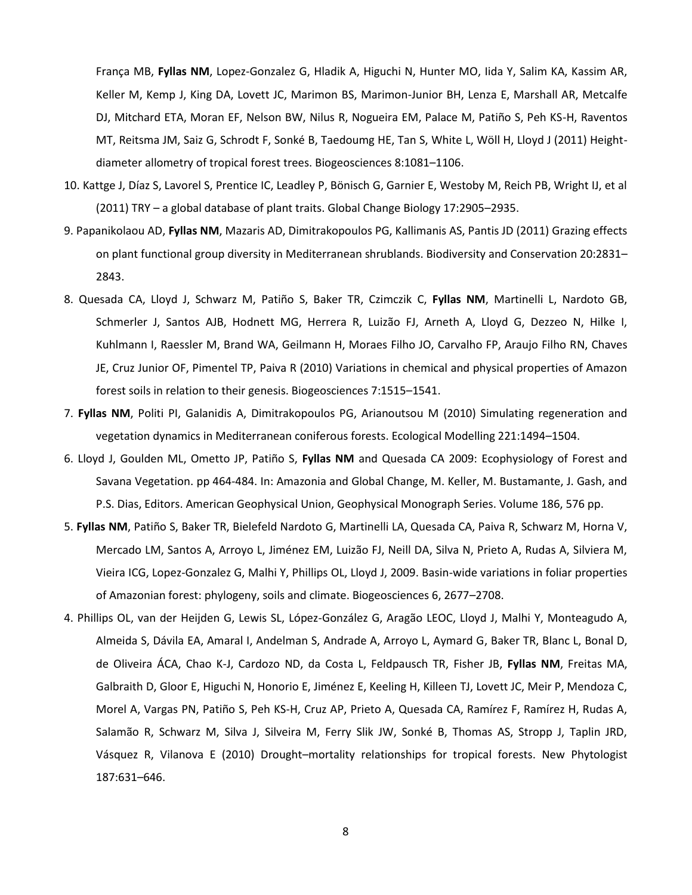França MB, **Fyllas NM**, Lopez-Gonzalez G, Hladik A, Higuchi N, Hunter MO, Iida Y, Salim KA, Kassim AR, Keller M, Kemp J, King DA, Lovett JC, Marimon BS, Marimon-Junior BH, Lenza E, Marshall AR, Metcalfe DJ, Mitchard ETA, Moran EF, Nelson BW, Nilus R, Nogueira EM, Palace M, Patiño S, Peh KS-H, Raventos MT, Reitsma JM, Saiz G, Schrodt F, Sonké B, Taedoumg HE, Tan S, White L, Wöll H, Lloyd J (2011) Heightdiameter allometry of tropical forest trees. Biogeosciences 8:1081–1106.

- 10. Kattge J, Díaz S, Lavorel S, Prentice IC, Leadley P, Bönisch G, Garnier E, Westoby M, Reich PB, Wright IJ, et al (2011) TRY – a global database of plant traits. Global Change Biology 17:2905–2935.
- 9. Papanikolaou AD, **Fyllas NM**, Mazaris AD, Dimitrakopoulos PG, Kallimanis AS, Pantis JD (2011) Grazing effects on plant functional group diversity in Mediterranean shrublands. Biodiversity and Conservation 20:2831– 2843.
- 8. Quesada CA, Lloyd J, Schwarz M, Patiño S, Baker TR, Czimczik C, **Fyllas NM**, Martinelli L, Nardoto GB, Schmerler J, Santos AJB, Hodnett MG, Herrera R, Luizão FJ, Arneth A, Lloyd G, Dezzeo N, Hilke I, Kuhlmann I, Raessler M, Brand WA, Geilmann H, Moraes Filho JO, Carvalho FP, Araujo Filho RN, Chaves JE, Cruz Junior OF, Pimentel TP, Paiva R (2010) Variations in chemical and physical properties of Amazon forest soils in relation to their genesis. Biogeosciences 7:1515–1541.
- 7. **Fyllas NM**, Politi PI, Galanidis A, Dimitrakopoulos PG, Arianoutsou M (2010) Simulating regeneration and vegetation dynamics in Mediterranean coniferous forests. Ecological Modelling 221:1494–1504.
- 6. Lloyd J, Goulden ML, Ometto JP, Patiño S, **Fyllas NM** and Quesada CA 2009: Ecophysiology of Forest and Savana Vegetation. pp 464-484. In: Amazonia and Global Change, M. Keller, M. Bustamante, J. Gash, and P.S. Dias, Editors. American Geophysical Union, Geophysical Monograph Series. Volume 186, 576 pp.
- 5. **Fyllas NM**, Patiño S, Baker TR, Bielefeld Nardoto G, Martinelli LA, Quesada CA, Paiva R, Schwarz M, Horna V, Mercado LM, Santos A, Arroyo L, Jiménez EM, Luizão FJ, Neill DA, Silva N, Prieto A, Rudas A, Silviera M, Vieira ICG, Lopez-Gonzalez G, Malhi Y, Phillips OL, Lloyd J, 2009. Basin-wide variations in foliar properties of Amazonian forest: phylogeny, soils and climate. Biogeosciences 6, 2677–2708.
- 4. Phillips OL, van der Heijden G, Lewis SL, López-González G, Aragão LEOC, Lloyd J, Malhi Y, Monteagudo A, Almeida S, Dávila EA, Amaral I, Andelman S, Andrade A, Arroyo L, Aymard G, Baker TR, Blanc L, Bonal D, de Oliveira ÁCA, Chao K-J, Cardozo ND, da Costa L, Feldpausch TR, Fisher JB, **Fyllas NM**, Freitas MA, Galbraith D, Gloor E, Higuchi N, Honorio E, Jiménez E, Keeling H, Killeen TJ, Lovett JC, Meir P, Mendoza C, Morel A, Vargas PN, Patiño S, Peh KS-H, Cruz AP, Prieto A, Quesada CA, Ramírez F, Ramírez H, Rudas A, Salamão R, Schwarz M, Silva J, Silveira M, Ferry Slik JW, Sonké B, Thomas AS, Stropp J, Taplin JRD, Vásquez R, Vilanova E (2010) Drought–mortality relationships for tropical forests. New Phytologist 187:631–646.